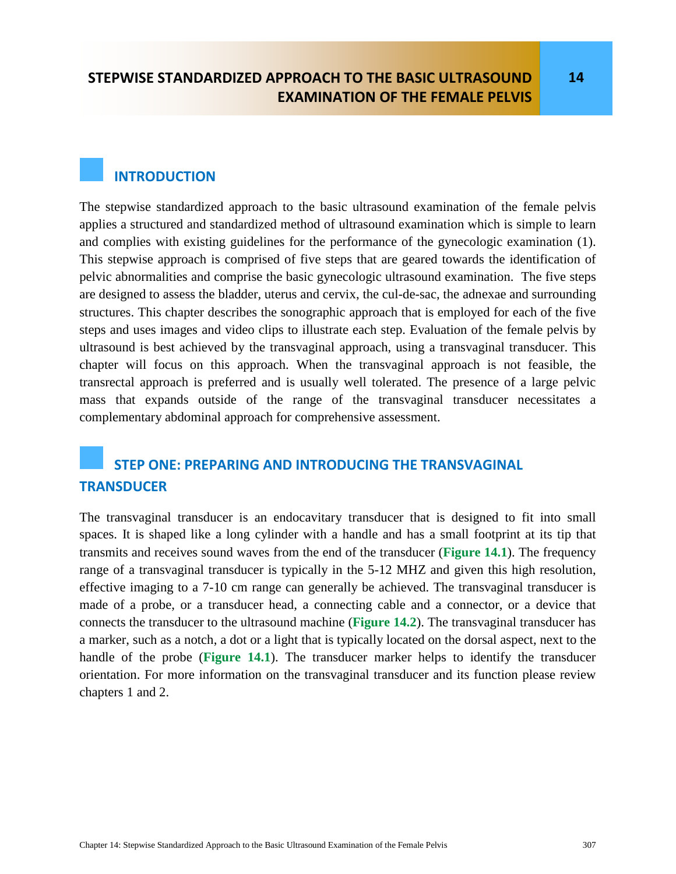### **INTRODUCTION**

The stepwise standardized approach to the basic ultrasound examination of the female pelvis applies a structured and standardized method of ultrasound examination which is simple to learn and complies with existing guidelines for the performance of the gynecologic examination (1). This stepwise approach is comprised of five steps that are geared towards the identification of pelvic abnormalities and comprise the basic gynecologic ultrasound examination. The five steps are designed to assess the bladder, uterus and cervix, the cul-de-sac, the adnexae and surrounding structures. This chapter describes the sonographic approach that is employed for each of the five steps and uses images and video clips to illustrate each step. Evaluation of the female pelvis by ultrasound is best achieved by the transvaginal approach, using a transvaginal transducer. This chapter will focus on this approach. When the transvaginal approach is not feasible, the transrectal approach is preferred and is usually well tolerated. The presence of a large pelvic mass that expands outside of the range of the transvaginal transducer necessitates a complementary abdominal approach for comprehensive assessment.

# **STEP ONE: PREPARING AND INTRODUCING THE TRANSVAGINAL TRANSDUCER**

The transvaginal transducer is an endocavitary transducer that is designed to fit into small spaces. It is shaped like a long cylinder with a handle and has a small footprint at its tip that transmits and receives sound waves from the end of the transducer (**Figure 14.1**). The frequency range of a transvaginal transducer is typically in the 5-12 MHZ and given this high resolution, effective imaging to a 7-10 cm range can generally be achieved. The transvaginal transducer is made of a probe, or a transducer head, a connecting cable and a connector, or a device that connects the transducer to the ultrasound machine (**Figure 14.2**). The transvaginal transducer has a marker, such as a notch, a dot or a light that is typically located on the dorsal aspect, next to the handle of the probe (**Figure 14.1**). The transducer marker helps to identify the transducer orientation. For more information on the transvaginal transducer and its function please review chapters 1 and 2.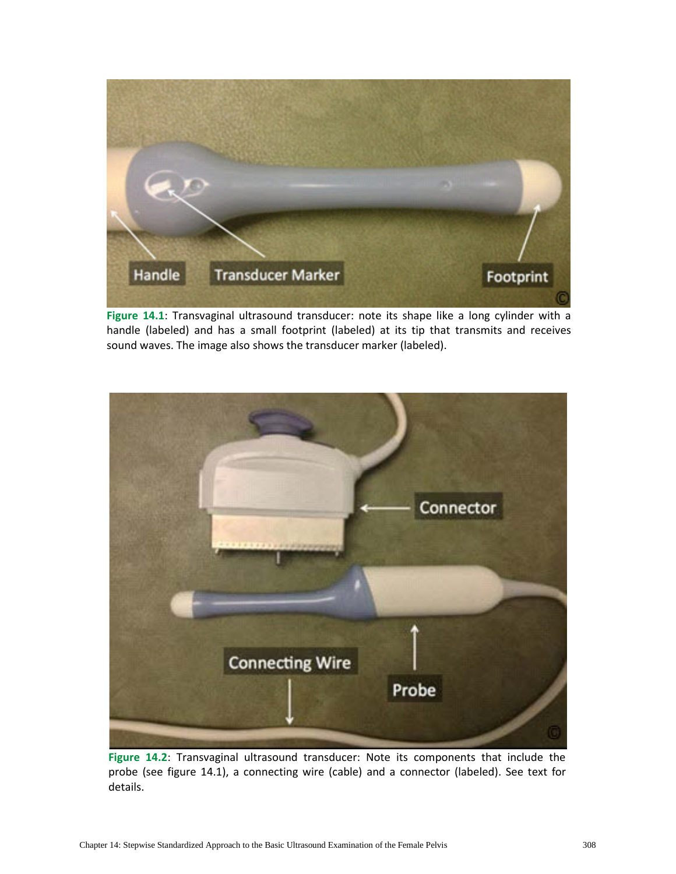

**Figure 14.1**: Transvaginal ultrasound transducer: note its shape like a long cylinder with a handle (labeled) and has a small footprint (labeled) at its tip that transmits and receives sound waves. The image also shows the transducer marker (labeled).



**Figure 14.2**: Transvaginal ultrasound transducer: Note its components that include the probe (see figure 14.1), a connecting wire (cable) and a connector (labeled). See text for details.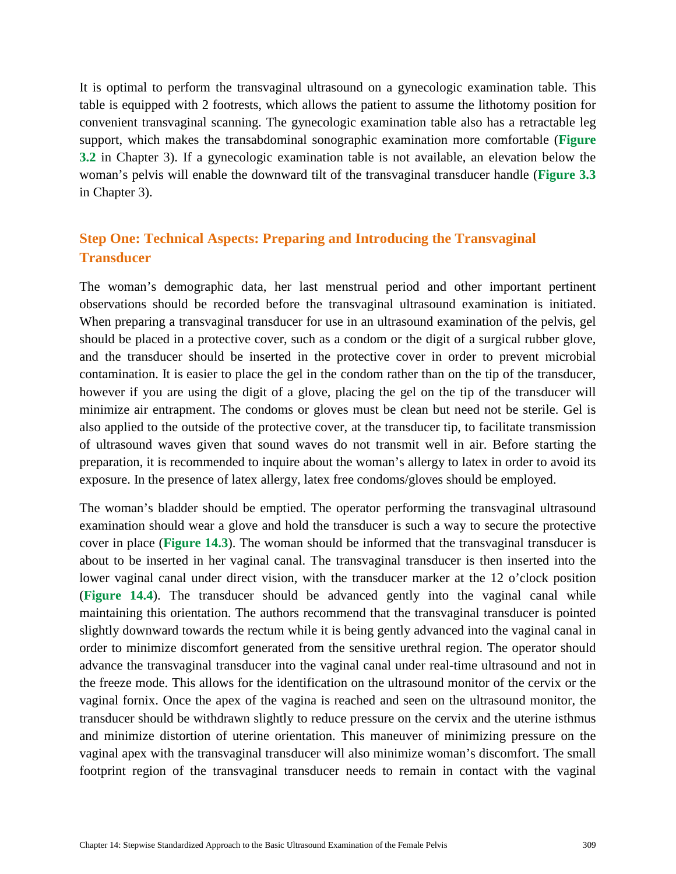It is optimal to perform the transvaginal ultrasound on a gynecologic examination table. This table is equipped with 2 footrests, which allows the patient to assume the lithotomy position for convenient transvaginal scanning. The gynecologic examination table also has a retractable leg support, which makes the transabdominal sonographic examination more comfortable (**Figure 3.2** in Chapter 3). If a gynecologic examination table is not available, an elevation below the woman's pelvis will enable the downward tilt of the transvaginal transducer handle (**Figure 3.3** in Chapter 3).

# **Step One: Technical Aspects: Preparing and Introducing the Transvaginal Transducer**

The woman's demographic data, her last menstrual period and other important pertinent observations should be recorded before the transvaginal ultrasound examination is initiated. When preparing a transvaginal transducer for use in an ultrasound examination of the pelvis, gel should be placed in a protective cover, such as a condom or the digit of a surgical rubber glove, and the transducer should be inserted in the protective cover in order to prevent microbial contamination. It is easier to place the gel in the condom rather than on the tip of the transducer, however if you are using the digit of a glove, placing the gel on the tip of the transducer will minimize air entrapment. The condoms or gloves must be clean but need not be sterile. Gel is also applied to the outside of the protective cover, at the transducer tip, to facilitate transmission of ultrasound waves given that sound waves do not transmit well in air. Before starting the preparation, it is recommended to inquire about the woman's allergy to latex in order to avoid its exposure. In the presence of latex allergy, latex free condoms/gloves should be employed.

The woman's bladder should be emptied. The operator performing the transvaginal ultrasound examination should wear a glove and hold the transducer is such a way to secure the protective cover in place (**Figure 14.3**). The woman should be informed that the transvaginal transducer is about to be inserted in her vaginal canal. The transvaginal transducer is then inserted into the lower vaginal canal under direct vision, with the transducer marker at the 12 o'clock position (**Figure 14.4**). The transducer should be advanced gently into the vaginal canal while maintaining this orientation. The authors recommend that the transvaginal transducer is pointed slightly downward towards the rectum while it is being gently advanced into the vaginal canal in order to minimize discomfort generated from the sensitive urethral region. The operator should advance the transvaginal transducer into the vaginal canal under real-time ultrasound and not in the freeze mode. This allows for the identification on the ultrasound monitor of the cervix or the vaginal fornix. Once the apex of the vagina is reached and seen on the ultrasound monitor, the transducer should be withdrawn slightly to reduce pressure on the cervix and the uterine isthmus and minimize distortion of uterine orientation. This maneuver of minimizing pressure on the vaginal apex with the transvaginal transducer will also minimize woman's discomfort. The small footprint region of the transvaginal transducer needs to remain in contact with the vaginal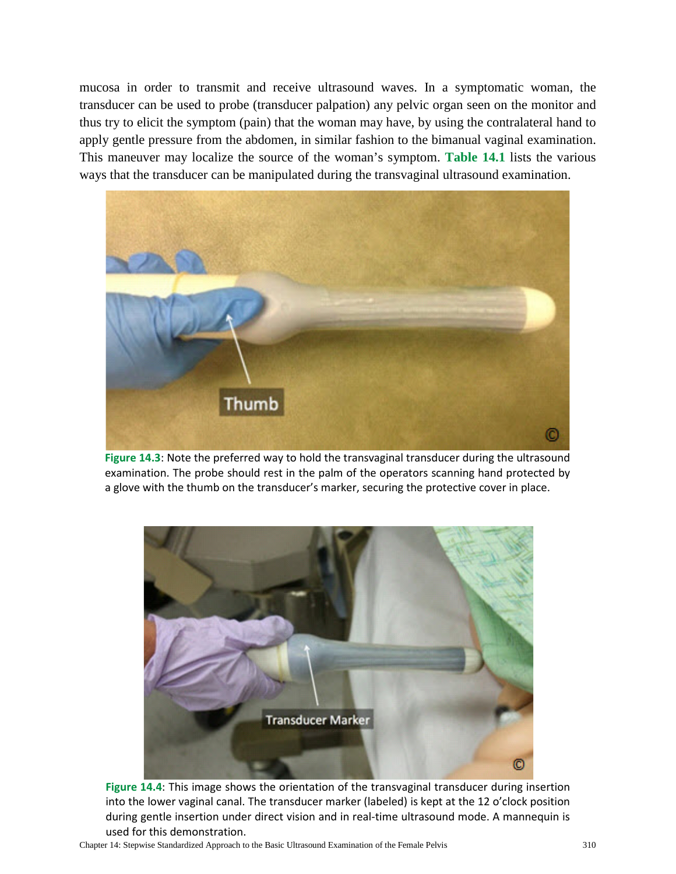mucosa in order to transmit and receive ultrasound waves. In a symptomatic woman, the transducer can be used to probe (transducer palpation) any pelvic organ seen on the monitor and thus try to elicit the symptom (pain) that the woman may have, by using the contralateral hand to apply gentle pressure from the abdomen, in similar fashion to the bimanual vaginal examination. This maneuver may localize the source of the woman's symptom. **Table 14.1** lists the various ways that the transducer can be manipulated during the transvaginal ultrasound examination.



**Figure 14.3**: Note the preferred way to hold the transvaginal transducer during the ultrasound examination. The probe should rest in the palm of the operators scanning hand protected by a glove with the thumb on the transducer's marker, securing the protective cover in place.



**Figure 14.4**: This image shows the orientation of the transvaginal transducer during insertion into the lower vaginal canal. The transducer marker (labeled) is kept at the 12 o'clock position during gentle insertion under direct vision and in real-time ultrasound mode. A mannequin is used for this demonstration.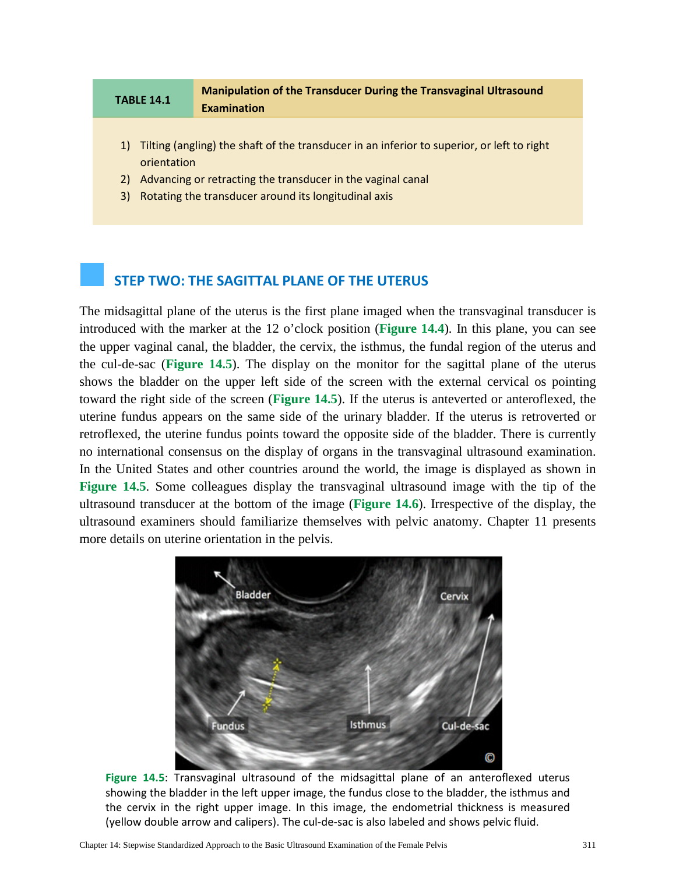#### **TABLE 14.1 Manipulation of the Transducer During the Transvaginal Ultrasound Examination**

- 1) Tilting (angling) the shaft of the transducer in an inferior to superior, or left to right orientation
- 2) Advancing or retracting the transducer in the vaginal canal
- 3) Rotating the transducer around its longitudinal axis

## **STEP TWO: THE SAGITTAL PLANE OF THE UTERUS**

The midsagittal plane of the uterus is the first plane imaged when the transvaginal transducer is introduced with the marker at the 12 o'clock position (**Figure 14.4**). In this plane, you can see the upper vaginal canal, the bladder, the cervix, the isthmus, the fundal region of the uterus and the cul-de-sac (**Figure 14.5**). The display on the monitor for the sagittal plane of the uterus shows the bladder on the upper left side of the screen with the external cervical os pointing toward the right side of the screen (**Figure 14.5**). If the uterus is anteverted or anteroflexed, the uterine fundus appears on the same side of the urinary bladder. If the uterus is retroverted or retroflexed, the uterine fundus points toward the opposite side of the bladder. There is currently no international consensus on the display of organs in the transvaginal ultrasound examination. In the United States and other countries around the world, the image is displayed as shown in **Figure 14.5**. Some colleagues display the transvaginal ultrasound image with the tip of the ultrasound transducer at the bottom of the image (**Figure 14.6**). Irrespective of the display, the ultrasound examiners should familiarize themselves with pelvic anatomy. Chapter 11 presents more details on uterine orientation in the pelvis.



**Figure 14.5**: Transvaginal ultrasound of the midsagittal plane of an anteroflexed uterus showing the bladder in the left upper image, the fundus close to the bladder, the isthmus and the cervix in the right upper image. In this image, the endometrial thickness is measured (yellow double arrow and calipers). The cul-de-sac is also labeled and shows pelvic fluid.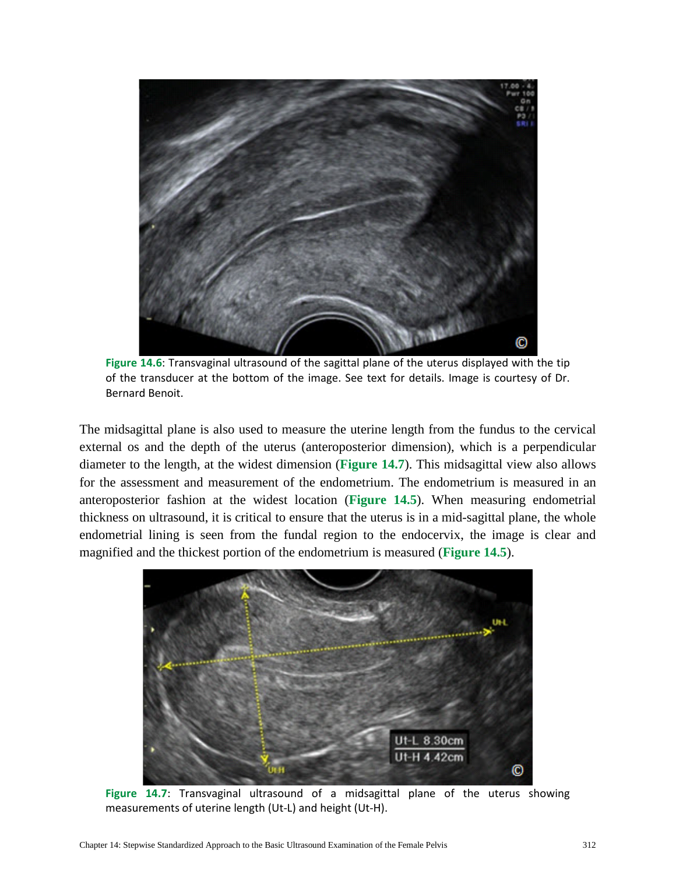

**Figure 14.6**: Transvaginal ultrasound of the sagittal plane of the uterus displayed with the tip of the transducer at the bottom of the image. See text for details. Image is courtesy of Dr. Bernard Benoit.

The midsagittal plane is also used to measure the uterine length from the fundus to the cervical external os and the depth of the uterus (anteroposterior dimension), which is a perpendicular diameter to the length, at the widest dimension (**Figure 14.7**). This midsagittal view also allows for the assessment and measurement of the endometrium. The endometrium is measured in an anteroposterior fashion at the widest location (**Figure 14.5**). When measuring endometrial thickness on ultrasound, it is critical to ensure that the uterus is in a mid-sagittal plane, the whole endometrial lining is seen from the fundal region to the endocervix, the image is clear and magnified and the thickest portion of the endometrium is measured (**Figure 14.5**).



**Figure 14.7**: Transvaginal ultrasound of a midsagittal plane of the uterus showing measurements of uterine length (Ut-L) and height (Ut-H).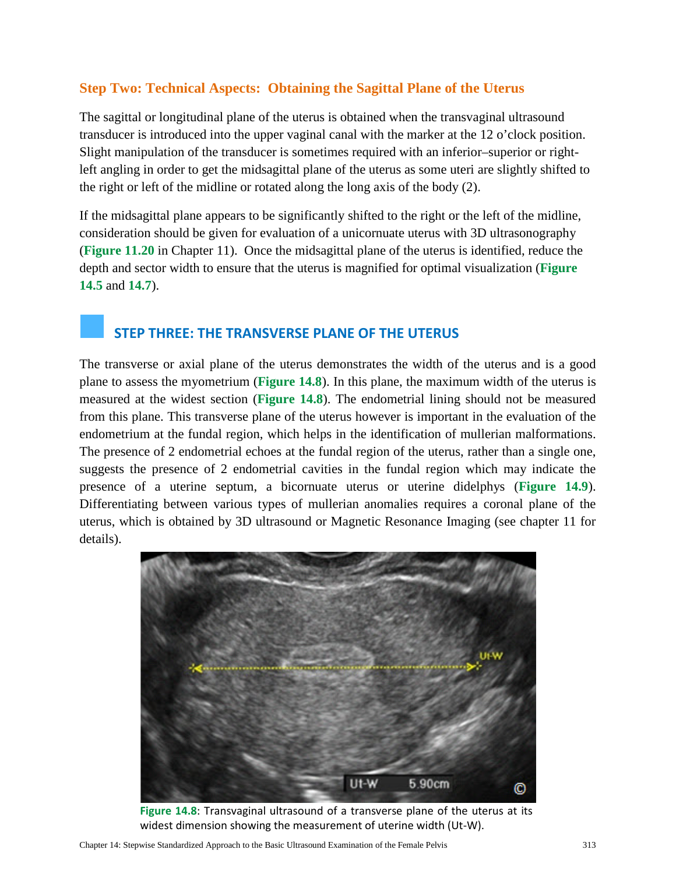### **Step Two: Technical Aspects: Obtaining the Sagittal Plane of the Uterus**

The sagittal or longitudinal plane of the uterus is obtained when the transvaginal ultrasound transducer is introduced into the upper vaginal canal with the marker at the 12 o'clock position. Slight manipulation of the transducer is sometimes required with an inferior–superior or rightleft angling in order to get the midsagittal plane of the uterus as some uteri are slightly shifted to the right or left of the midline or rotated along the long axis of the body (2).

If the midsagittal plane appears to be significantly shifted to the right or the left of the midline, consideration should be given for evaluation of a unicornuate uterus with 3D ultrasonography (**Figure 11.20** in Chapter 11). Once the midsagittal plane of the uterus is identified, reduce the depth and sector width to ensure that the uterus is magnified for optimal visualization (**Figure 14.5** and **14.7**).

# **STEP THREE: THE TRANSVERSE PLANE OF THE UTERUS**

The transverse or axial plane of the uterus demonstrates the width of the uterus and is a good plane to assess the myometrium (**Figure 14.8**). In this plane, the maximum width of the uterus is measured at the widest section (**Figure 14.8**). The endometrial lining should not be measured from this plane. This transverse plane of the uterus however is important in the evaluation of the endometrium at the fundal region, which helps in the identification of mullerian malformations. The presence of 2 endometrial echoes at the fundal region of the uterus, rather than a single one, suggests the presence of 2 endometrial cavities in the fundal region which may indicate the presence of a uterine septum, a bicornuate uterus or uterine didelphys (**Figure 14.9**). Differentiating between various types of mullerian anomalies requires a coronal plane of the uterus, which is obtained by 3D ultrasound or Magnetic Resonance Imaging (see chapter 11 for details).



**Figure 14.8**: Transvaginal ultrasound of a transverse plane of the uterus at its widest dimension showing the measurement of uterine width (Ut-W).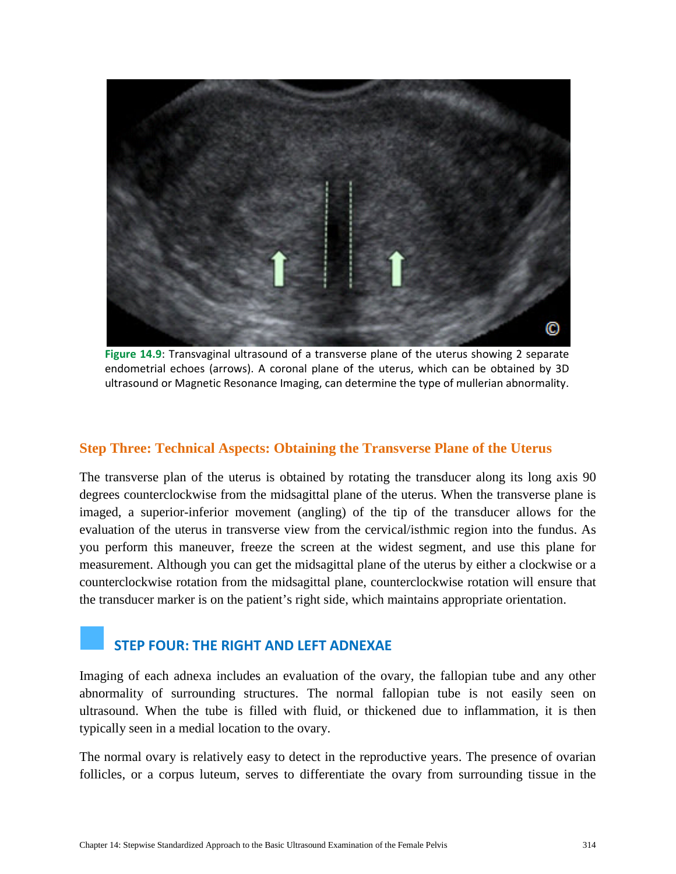

**Figure 14.9**: Transvaginal ultrasound of a transverse plane of the uterus showing 2 separate endometrial echoes (arrows). A coronal plane of the uterus, which can be obtained by 3D ultrasound or Magnetic Resonance Imaging, can determine the type of mullerian abnormality.

#### **Step Three: Technical Aspects: Obtaining the Transverse Plane of the Uterus**

The transverse plan of the uterus is obtained by rotating the transducer along its long axis 90 degrees counterclockwise from the midsagittal plane of the uterus. When the transverse plane is imaged, a superior-inferior movement (angling) of the tip of the transducer allows for the evaluation of the uterus in transverse view from the cervical/isthmic region into the fundus. As you perform this maneuver, freeze the screen at the widest segment, and use this plane for measurement. Although you can get the midsagittal plane of the uterus by either a clockwise or a counterclockwise rotation from the midsagittal plane, counterclockwise rotation will ensure that the transducer marker is on the patient's right side, which maintains appropriate orientation.

# **STEP FOUR: THE RIGHT AND LEFT ADNEXAE**

Imaging of each adnexa includes an evaluation of the ovary, the fallopian tube and any other abnormality of surrounding structures. The normal fallopian tube is not easily seen on ultrasound. When the tube is filled with fluid, or thickened due to inflammation, it is then typically seen in a medial location to the ovary.

The normal ovary is relatively easy to detect in the reproductive years. The presence of ovarian follicles, or a corpus luteum, serves to differentiate the ovary from surrounding tissue in the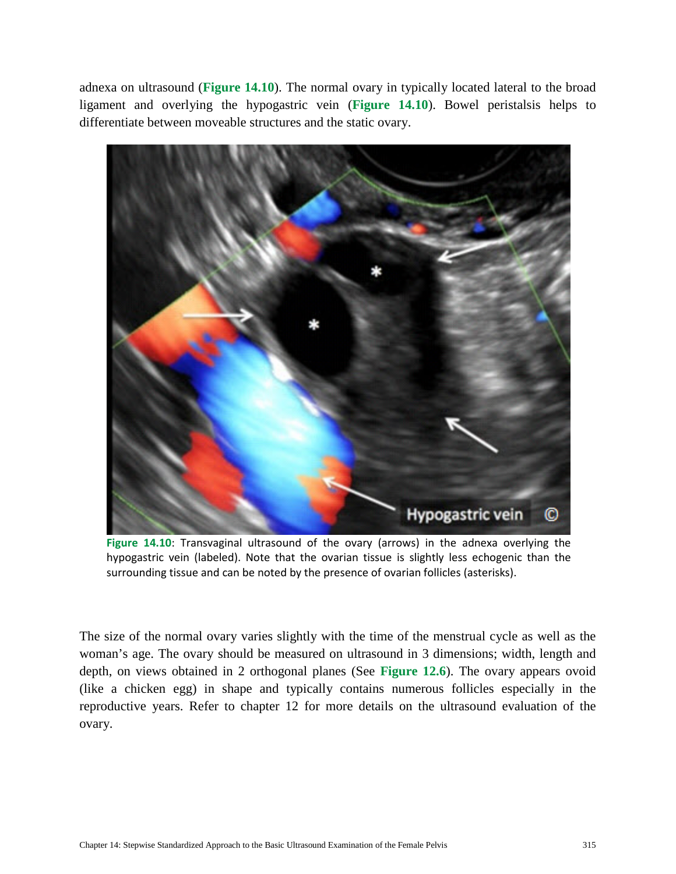adnexa on ultrasound (**Figure 14.10**). The normal ovary in typically located lateral to the broad ligament and overlying the hypogastric vein (**Figure 14.10**). Bowel peristalsis helps to differentiate between moveable structures and the static ovary.



**Figure 14.10**: Transvaginal ultrasound of the ovary (arrows) in the adnexa overlying the hypogastric vein (labeled). Note that the ovarian tissue is slightly less echogenic than the surrounding tissue and can be noted by the presence of ovarian follicles (asterisks).

The size of the normal ovary varies slightly with the time of the menstrual cycle as well as the woman's age. The ovary should be measured on ultrasound in 3 dimensions; width, length and depth, on views obtained in 2 orthogonal planes (See **Figure 12.6**). The ovary appears ovoid (like a chicken egg) in shape and typically contains numerous follicles especially in the reproductive years. Refer to chapter 12 for more details on the ultrasound evaluation of the ovary.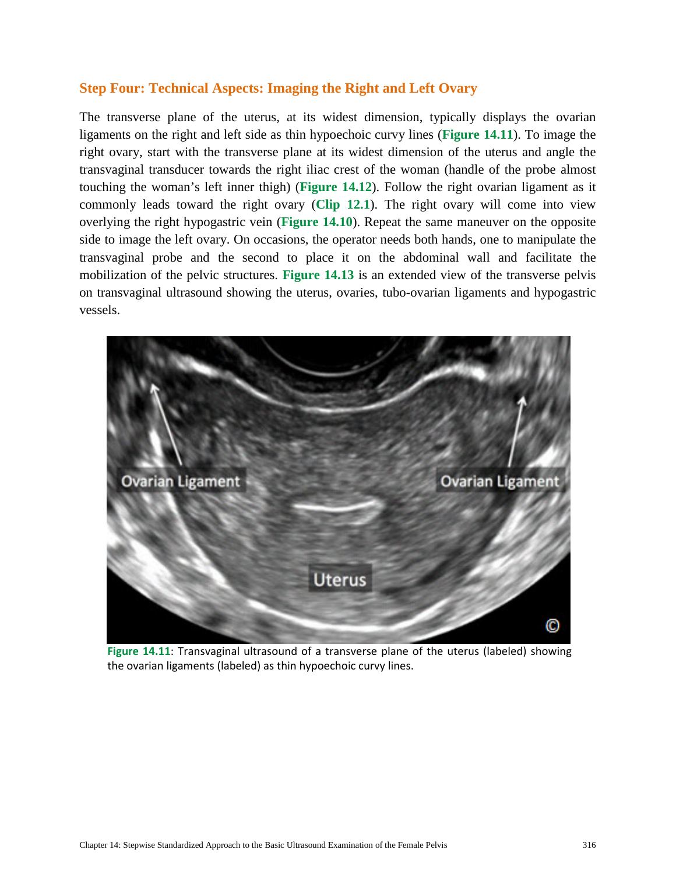#### **Step Four: Technical Aspects: Imaging the Right and Left Ovary**

The transverse plane of the uterus, at its widest dimension, typically displays the ovarian ligaments on the right and left side as thin hypoechoic curvy lines (**Figure 14.11**). To image the right ovary, start with the transverse plane at its widest dimension of the uterus and angle the transvaginal transducer towards the right iliac crest of the woman (handle of the probe almost touching the woman's left inner thigh) (**Figure 14.12**). Follow the right ovarian ligament as it commonly leads toward the right ovary (**Clip 12.1**). The right ovary will come into view overlying the right hypogastric vein (**Figure 14.10**). Repeat the same maneuver on the opposite side to image the left ovary. On occasions, the operator needs both hands, one to manipulate the transvaginal probe and the second to place it on the abdominal wall and facilitate the mobilization of the pelvic structures. **Figure 14.13** is an extended view of the transverse pelvis on transvaginal ultrasound showing the uterus, ovaries, tubo-ovarian ligaments and hypogastric vessels.



**Figure 14.11**: Transvaginal ultrasound of a transverse plane of the uterus (labeled) showing the ovarian ligaments (labeled) as thin hypoechoic curvy lines.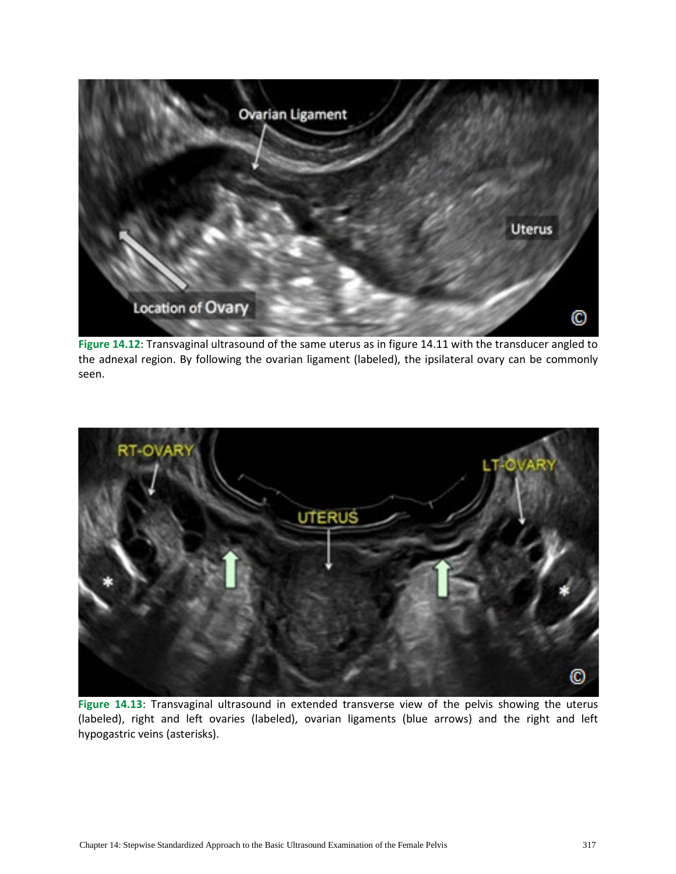

**Figure 14.12**: Transvaginal ultrasound of the same uterus as in figure 14.11 with the transducer angled to the adnexal region. By following the ovarian ligament (labeled), the ipsilateral ovary can be commonly seen.



**Figure 14.13**: Transvaginal ultrasound in extended transverse view of the pelvis showing the uterus (labeled), right and left ovaries (labeled), ovarian ligaments (blue arrows) and the right and left hypogastric veins (asterisks).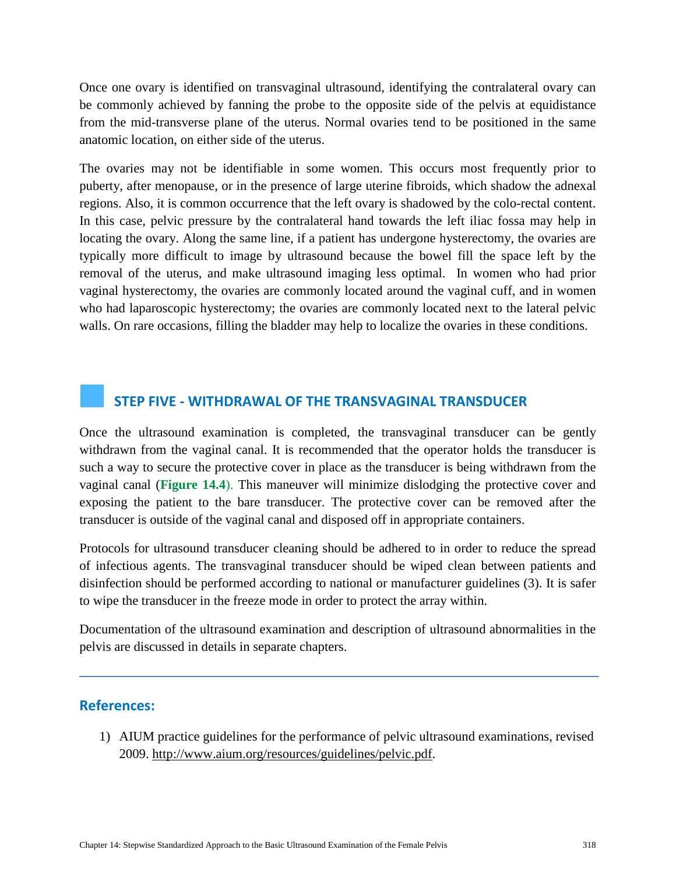Once one ovary is identified on transvaginal ultrasound, identifying the contralateral ovary can be commonly achieved by fanning the probe to the opposite side of the pelvis at equidistance from the mid-transverse plane of the uterus. Normal ovaries tend to be positioned in the same anatomic location, on either side of the uterus.

The ovaries may not be identifiable in some women. This occurs most frequently prior to puberty, after menopause, or in the presence of large uterine fibroids, which shadow the adnexal regions. Also, it is common occurrence that the left ovary is shadowed by the colo-rectal content. In this case, pelvic pressure by the contralateral hand towards the left iliac fossa may help in locating the ovary. Along the same line, if a patient has undergone hysterectomy, the ovaries are typically more difficult to image by ultrasound because the bowel fill the space left by the removal of the uterus, and make ultrasound imaging less optimal. In women who had prior vaginal hysterectomy, the ovaries are commonly located around the vaginal cuff, and in women who had laparoscopic hysterectomy; the ovaries are commonly located next to the lateral pelvic walls. On rare occasions, filling the bladder may help to localize the ovaries in these conditions.

## **STEP FIVE - WITHDRAWAL OF THE TRANSVAGINAL TRANSDUCER**

Once the ultrasound examination is completed, the transvaginal transducer can be gently withdrawn from the vaginal canal. It is recommended that the operator holds the transducer is such a way to secure the protective cover in place as the transducer is being withdrawn from the vaginal canal (**Figure 14.4**). This maneuver will minimize dislodging the protective cover and exposing the patient to the bare transducer. The protective cover can be removed after the transducer is outside of the vaginal canal and disposed off in appropriate containers.

Protocols for ultrasound transducer cleaning should be adhered to in order to reduce the spread of infectious agents. The transvaginal transducer should be wiped clean between patients and disinfection should be performed according to national or manufacturer guidelines (3). It is safer to wipe the transducer in the freeze mode in order to protect the array within.

Documentation of the ultrasound examination and description of ultrasound abnormalities in the pelvis are discussed in details in separate chapters.

#### **References:**

1) AIUM practice guidelines for the performance of pelvic ultrasound examinations, revised 2009. http://www.aium.org/resources/guidelines/pelvic.pdf.